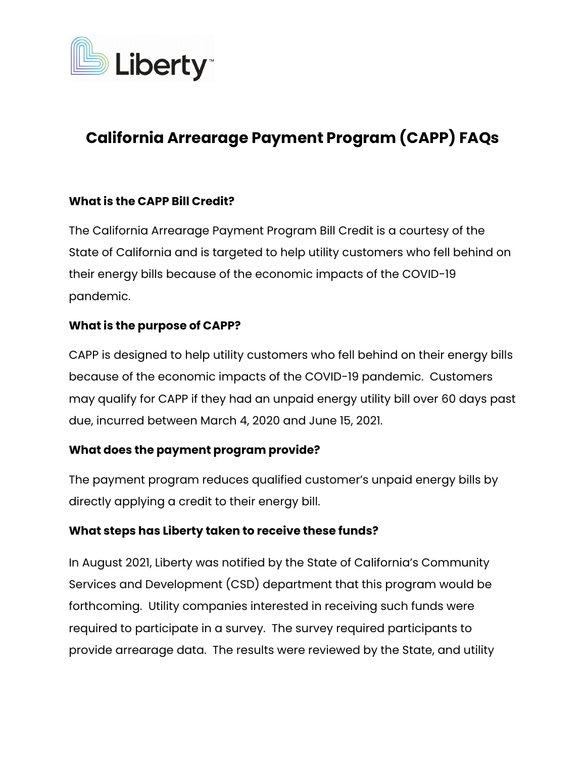

# **California Arrearage Payment Program (CAPP) FAQs**

## **What is the CAPP Bill Credit?**

The California Arrearage Payment Program Bill Credit is a courtesy of the State of California and is targeted to help utility customers who fell behind on their energy bills because of the economic impacts of the COVID-19 pandemic.

## **What is the purpose of CAPP?**

CAPP is designed to help utility customers who fell behind on their energy bills because of the economic impacts of the COVID-19 pandemic. Customers may qualify for CAPP if they had an unpaid energy utility bill over 60 days past due, incurred between March 4, 2020 and June 15, 2021.

## **What does the payment program provide?**

The payment program reduces qualified customer's unpaid energy bills by directly applying a credit to their energy bill.

## **What steps has Liberty taken to receive these funds?**

In August 2021, Liberty was notified by the State of California's Community Services and Development (CSD) department that this program would be forthcoming. Utility companies interested in receiving such funds were required to participate in a survey. The survey required participants to provide arrearage data. The results were reviewed by the State, and utility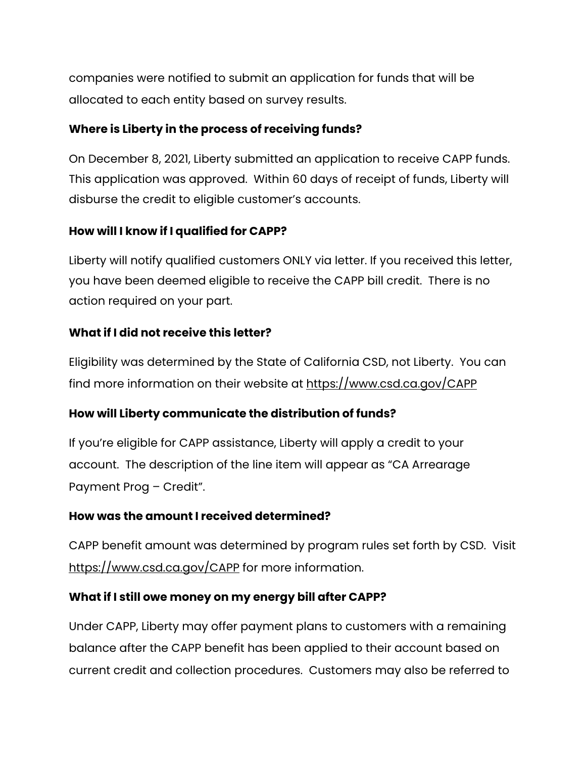companies were notified to submit an application for funds that will be allocated to each entity based on survey results.

## **Where is Liberty in the process of receiving funds?**

On December 8, 2021, Liberty submitted an application to receive CAPP funds. This application was approved. Within 60 days of receipt of funds, Liberty will disburse the credit to eligible customer's accounts.

# **How will I know if I qualified for CAPP?**

Liberty will notify qualified customers ONLY via letter. If you received this letter, you have been deemed eligible to receive the CAPP bill credit. There is no action required on your part.

# **What if I did not receive this letter?**

Eligibility was determined by the State of California CSD, not Liberty. You can find more information on their website at <https://www.csd.ca.gov/CAPP>

## **How will Liberty communicate the distribution of funds?**

If you're eligible for CAPP assistance, Liberty will apply a credit to your account. The description of the line item will appear as "CA Arrearage Payment Prog – Credit".

## **How was the amount I received determined?**

CAPP benefit amount was determined by program rules set forth by CSD. Visit <https://www.csd.ca.gov/CAPP> for more information.

# **What if I still owe money on my energy bill after CAPP?**

Under CAPP, Liberty may offer payment plans to customers with a remaining balance after the CAPP benefit has been applied to their account based on current credit and collection procedures. Customers may also be referred to